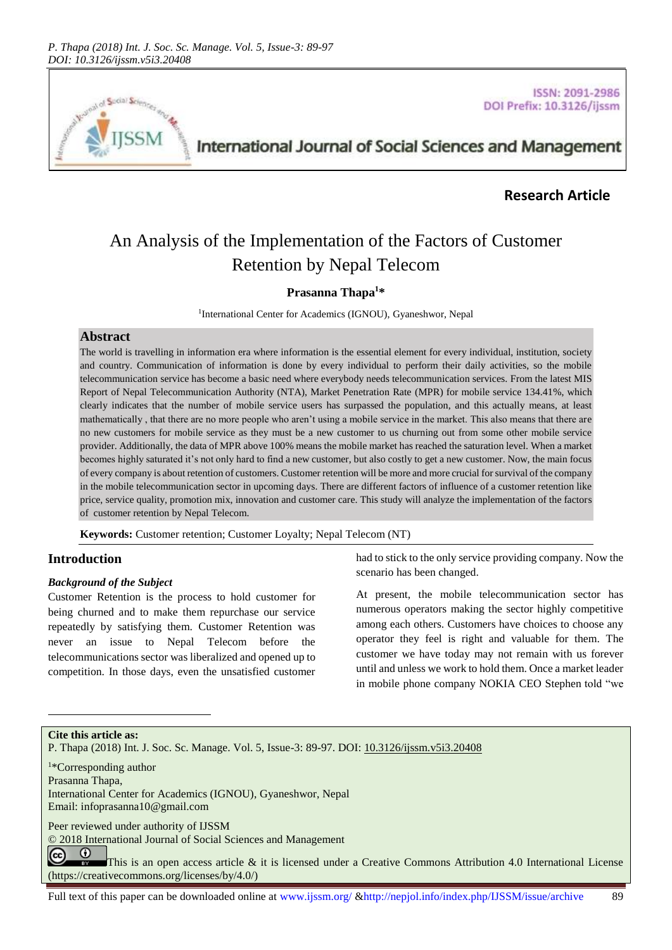

**ISSN: 2091-2986** DOI Prefix: 10.3126/ijssm

# International Journal of Social Sciences and Management

# **Research Article**

# An Analysis of the Implementation of the Factors of Customer Retention by Nepal Telecom

## **Prasanna Thapa<sup>1</sup>\***

<sup>1</sup>International Center for Academics (IGNOU), Gyaneshwor, Nepal

### **Abstract**

The world is travelling in information era where information is the essential element for every individual, institution, society and country. Communication of information is done by every individual to perform their daily activities, so the mobile telecommunication service has become a basic need where everybody needs telecommunication services. From the latest MIS Report of Nepal Telecommunication Authority (NTA), Market Penetration Rate (MPR) for mobile service 134.41%, which clearly indicates that the number of mobile service users has surpassed the population, and this actually means, at least mathematically , that there are no more people who aren't using a mobile service in the market. This also means that there are no new customers for mobile service as they must be a new customer to us churning out from some other mobile service provider. Additionally, the data of MPR above 100% means the mobile market has reached the saturation level. When a market becomes highly saturated it's not only hard to find a new customer, but also costly to get a new customer. Now, the main focus of every company is about retention of customers. Customer retention will be more and more crucial for survival of the company in the mobile telecommunication sector in upcoming days. There are different factors of influence of a customer retention like price, service quality, promotion mix, innovation and customer care. This study will analyze the implementation of the factors of customer retention by Nepal Telecom.

**Keywords:** Customer retention; Customer Loyalty; Nepal Telecom (NT)

# **Introduction**

## *Background of the Subject*

Customer Retention is the process to hold customer for being churned and to make them repurchase our service repeatedly by satisfying them. Customer Retention was never an issue to Nepal Telecom before the telecommunications sector was liberalized and opened up to competition. In those days, even the unsatisfied customer

had to stick to the only service providing company. Now the scenario has been changed.

At present, the mobile telecommunication sector has numerous operators making the sector highly competitive among each others. Customers have choices to choose any operator they feel is right and valuable for them. The customer we have today may not remain with us forever until and unless we work to hold them. Once a market leader in mobile phone company NOKIA CEO Stephen told "we

**Cite this article as:**

l

P. Thapa (2018) Int. J. Soc. Sc. Manage. Vol. 5, Issue-3: 89-97. DOI[: 10.3126/ijssm.v5i3.20408](http://dx.doi.org/10.3126/ijssm.v5i3.20408)

<sup>1</sup>\*Corresponding author Prasanna Thapa, International Center for Academics (IGNOU), Gyaneshwor, Nepal Email[: infoprasanna10@gmail.com](mailto:infoprasanna10@gmail.com)

Peer reviewed under authority of IJSSM

© 2018 International Journal of Social Sciences and Management

 $\odot$ (cc) This is an open access article & it is licensed under a Creative Commons Attribution 4.0 International License [\(https://creativecommons.org/licenses/by/4.0/\)](https://creativecommons.org/licenses/by/4.0/)

Full text of this paper can be downloaded online at www.ijssm.org/ &http://nepjol.info/index.php/IJSSM/issue/archive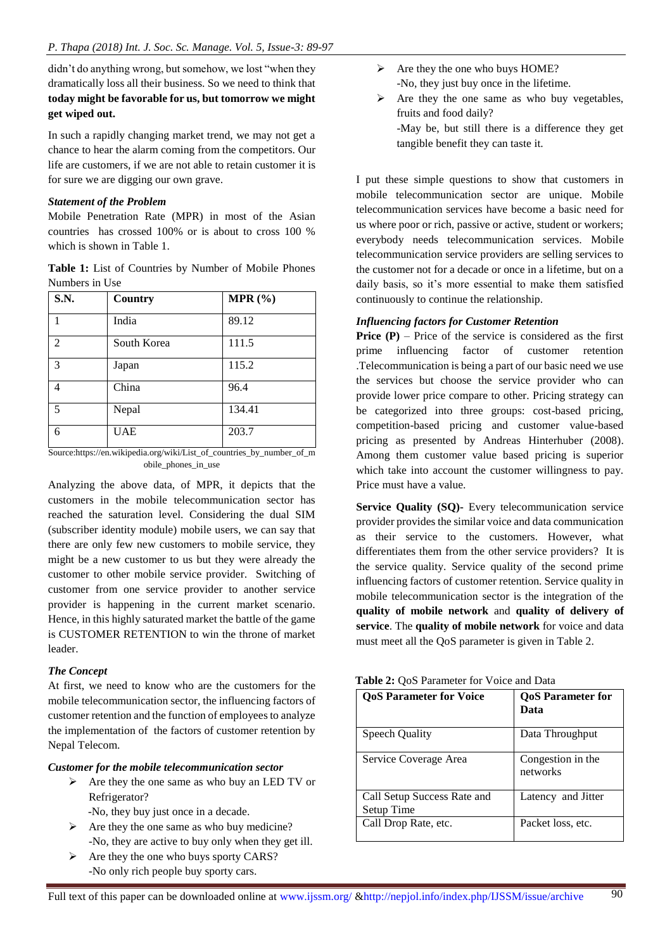didn't do anything wrong, but somehow, we lost "when they dramatically loss all their business. So we need to think that **today might be favorable for us, but tomorrow we might get wiped out.**

In such a rapidly changing market trend, we may not get a chance to hear the alarm coming from the competitors. Our life are customers, if we are not able to retain customer it is for sure we are digging our own grave.

#### *Statement of the Problem*

Mobile Penetration Rate (MPR) in most of the Asian countries has crossed 100% or is about to cross 100 % which is shown in Table 1.

**Table 1:** List of Countries by Number of Mobile Phones Numbers in Use

| S.N.           | Country     | MPR(%) |
|----------------|-------------|--------|
| 1              | India       | 89.12  |
| $\mathfrak{D}$ | South Korea | 111.5  |
| 3              | Japan       | 115.2  |
| $\overline{4}$ | China       | 96.4   |
| 5              | Nepal       | 134.41 |
| 6              | UAE         | 203.7  |

Source:https://en.wikipedia.org/wiki/List\_of\_countries\_by\_number\_of\_m obile\_phones\_in\_use

Analyzing the above data, of MPR, it depicts that the customers in the mobile telecommunication sector has reached the saturation level. Considering the dual SIM (subscriber identity module) mobile users, we can say that there are only few new customers to mobile service, they might be a new customer to us but they were already the customer to other mobile service provider. Switching of customer from one service provider to another service provider is happening in the current market scenario. Hence, in this highly saturated market the battle of the game is CUSTOMER RETENTION to win the throne of market leader.

## *The Concept*

At first, we need to know who are the customers for the mobile telecommunication sector, the influencing factors of customer retention and the function of employees to analyze the implementation of the factors of customer retention by Nepal Telecom.

### *Customer for the mobile telecommunication sector*

- $\triangleright$  Are they the one same as who buy an LED TV or Refrigerator?
	- -No, they buy just once in a decade.
- $\triangleright$  Are they the one same as who buy medicine? -No, they are active to buy only when they get ill.
- $\triangleright$  Are they the one who buys sporty CARS? -No only rich people buy sporty cars.
- $\triangleright$  Are they the one who buys HOME? -No, they just buy once in the lifetime.
- $\triangleright$  Are they the one same as who buy vegetables, fruits and food daily? -May be, but still there is a difference they get tangible benefit they can taste it.

I put these simple questions to show that customers in mobile telecommunication sector are unique. Mobile telecommunication services have become a basic need for us where poor or rich, passive or active, student or workers; everybody needs telecommunication services. Mobile telecommunication service providers are selling services to the customer not for a decade or once in a lifetime, but on a daily basis, so it's more essential to make them satisfied continuously to continue the relationship.

## *Influencing factors for Customer Retention*

**Price (P)** – Price of the service is considered as the first prime influencing factor of customer retention .Telecommunication is being a part of our basic need we use the services but choose the service provider who can provide lower price compare to other. Pricing strategy can be categorized into three groups: cost-based pricing, competition-based pricing and customer value-based pricing as presented by Andreas Hinterhuber (2008). Among them customer value based pricing is superior which take into account the customer willingness to pay. Price must have a value.

**Service Quality (SQ)-** Every telecommunication service provider provides the similar voice and data communication as their service to the customers. However, what differentiates them from the other service providers? It is the service quality. Service quality of the second prime influencing factors of customer retention. Service quality in mobile telecommunication sector is the integration of the **quality of mobile network** and **quality of delivery of service**. The **quality of mobile network** for voice and data must meet all the QoS parameter is given in Table 2.

| Table 2: QoS Parameter for Voice and Data |  |  |  |  |  |
|-------------------------------------------|--|--|--|--|--|
|-------------------------------------------|--|--|--|--|--|

| <b>QoS Parameter for Voice</b>            | <b>QoS</b> Parameter for<br>Data |
|-------------------------------------------|----------------------------------|
| Speech Quality                            | Data Throughput                  |
| Service Coverage Area                     | Congestion in the<br>networks    |
| Call Setup Success Rate and<br>Setup Time | Latency and Jitter               |
| Call Drop Rate, etc.                      | Packet loss, etc.                |

 $\overline{90}$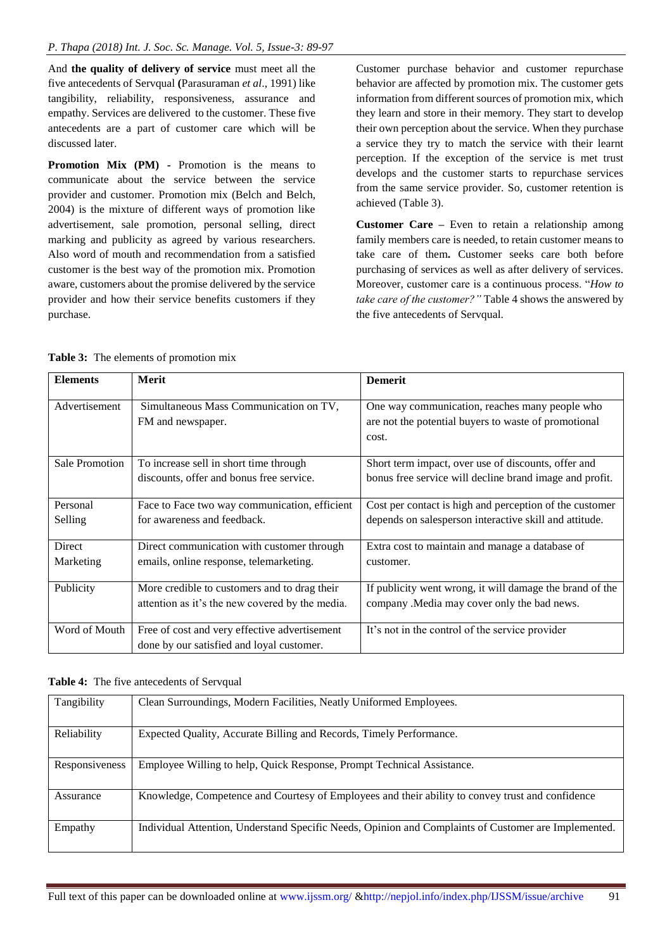And **the quality of delivery of service** must meet all the five antecedents of Servqual **(**Parasuraman *et al*., 1991) like tangibility, reliability, responsiveness, assurance and empathy. Services are delivered to the customer. These five antecedents are a part of customer care which will be discussed later.

**Promotion Mix (PM) -** Promotion is the means to communicate about the service between the service provider and customer. Promotion mix (Belch and Belch, 2004) is the mixture of different ways of promotion like advertisement, sale promotion, personal selling, direct marking and publicity as agreed by various researchers. Also word of mouth and recommendation from a satisfied customer is the best way of the promotion mix. Promotion aware, customers about the promise delivered by the service provider and how their service benefits customers if they purchase.

Customer purchase behavior and customer repurchase behavior are affected by promotion mix. The customer gets information from different sources of promotion mix, which they learn and store in their memory. They start to develop their own perception about the service. When they purchase a service they try to match the service with their learnt perception. If the exception of the service is met trust develops and the customer starts to repurchase services from the same service provider. So, customer retention is achieved (Table 3).

**Customer Care –** Even to retain a relationship among family members care is needed, to retain customer means to take care of them**.** Customer seeks care both before purchasing of services as well as after delivery of services. Moreover, customer care is a continuous process. "*How to take care of the customer?"* Table 4 shows the answered by the five antecedents of Servqual.

| <b>Elements</b>       | <b>Merit</b>                                    | <b>Demerit</b>                                           |
|-----------------------|-------------------------------------------------|----------------------------------------------------------|
| Advertisement         | Simultaneous Mass Communication on TV,          | One way communication, reaches many people who           |
|                       | FM and newspaper.                               | are not the potential buyers to waste of promotional     |
|                       |                                                 | cost.                                                    |
|                       |                                                 |                                                          |
| <b>Sale Promotion</b> | To increase sell in short time through          | Short term impact, over use of discounts, offer and      |
|                       | discounts, offer and bonus free service.        | bonus free service will decline brand image and profit.  |
|                       |                                                 |                                                          |
| Personal              | Face to Face two way communication, efficient   | Cost per contact is high and perception of the customer  |
| Selling               | for awareness and feedback.                     | depends on salesperson interactive skill and attitude.   |
|                       |                                                 |                                                          |
| <b>Direct</b>         | Direct communication with customer through      | Extra cost to maintain and manage a database of          |
| Marketing             | emails, online response, telemarketing.         | customer.                                                |
|                       |                                                 |                                                          |
| Publicity             | More credible to customers and to drag their    | If publicity went wrong, it will damage the brand of the |
|                       | attention as it's the new covered by the media. | company .Media may cover only the bad news.              |
|                       |                                                 |                                                          |
| Word of Mouth         | Free of cost and very effective advertisement   | It's not in the control of the service provider          |
|                       | done by our satisfied and loyal customer.       |                                                          |

|  | <b>Table 3:</b> The elements of promotion mix |  |  |  |
|--|-----------------------------------------------|--|--|--|
|--|-----------------------------------------------|--|--|--|

**Table 4:** The five antecedents of Servqual

| Tangibility    | Clean Surroundings, Modern Facilities, Neatly Uniformed Employees.                                   |
|----------------|------------------------------------------------------------------------------------------------------|
|                |                                                                                                      |
| Reliability    | Expected Quality, Accurate Billing and Records, Timely Performance.                                  |
| Responsiveness | Employee Willing to help, Quick Response, Prompt Technical Assistance.                               |
| Assurance      | Knowledge, Competence and Courtesy of Employees and their ability to convey trust and confidence     |
| Empathy        | Individual Attention, Understand Specific Needs, Opinion and Complaints of Customer are Implemented. |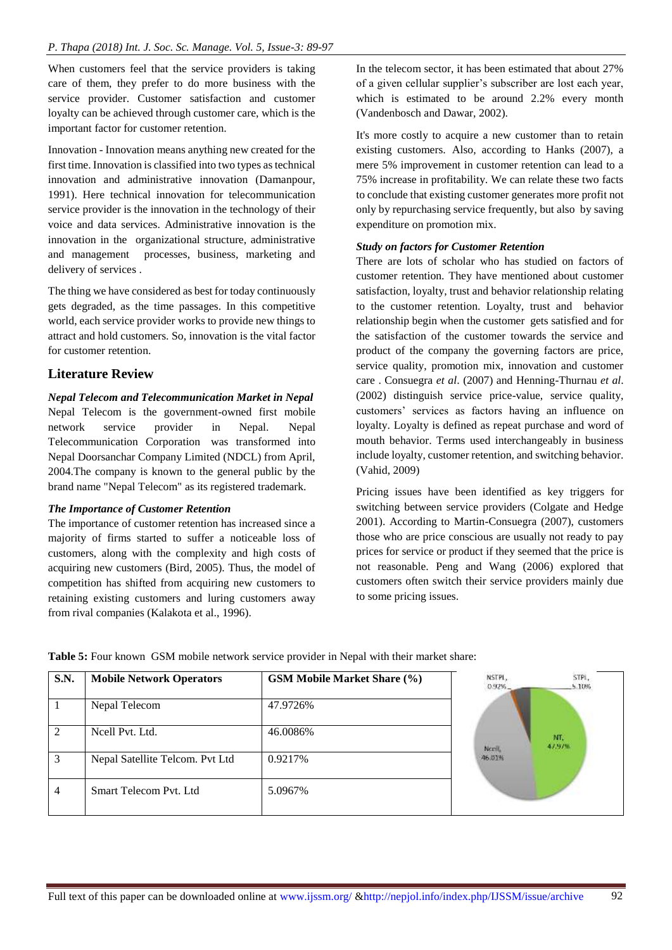When customers feel that the service providers is taking care of them, they prefer to do more business with the service provider. Customer satisfaction and customer loyalty can be achieved through customer care, which is the important factor for customer retention.

Innovation - Innovation means anything new created for the first time. Innovation is classified into two types as technical innovation and administrative innovation (Damanpour, 1991). Here technical innovation for telecommunication service provider is the innovation in the technology of their voice and data services. Administrative innovation is the innovation in the organizational structure, administrative and management processes, business, marketing and delivery of services .

The thing we have considered as best for today continuously gets degraded, as the time passages. In this competitive world, each service provider works to provide new things to attract and hold customers. So, innovation is the vital factor for customer retention.

# **Literature Review**

# *Nepal Telecom and Telecommunication Market in Nepal*

Nepal Telecom is the government-owned first mobile network service provider in Nepal. Nepal Telecommunication Corporation was transformed into Nepal Doorsanchar Company Limited (NDCL) from April, 2004.The company is known to the general public by the brand name "Nepal Telecom" as its registered trademark.

# *The Importance of Customer Retention*

The importance of customer retention has increased since a majority of firms started to suffer a noticeable loss of customers, along with the complexity and high costs of acquiring new customers (Bird, 2005). Thus, the model of competition has shifted from acquiring new customers to retaining existing customers and luring customers away from rival companies (Kalakota et al., 1996).

In the telecom sector, it has been estimated that about 27% of a given cellular supplier's subscriber are lost each year, which is estimated to be around 2.2% every month (Vandenbosch and Dawar, 2002).

It's more costly to acquire a new customer than to retain existing customers. Also, according to Hanks (2007), a mere 5% improvement in customer retention can lead to a 75% increase in profitability. We can relate these two facts to conclude that existing customer generates more profit not only by repurchasing service frequently, but also by saving expenditure on promotion mix.

## *Study on factors for Customer Retention*

There are lots of scholar who has studied on factors of customer retention. They have mentioned about customer satisfaction, loyalty, trust and behavior relationship relating to the customer retention. Loyalty, trust and behavior relationship begin when the customer gets satisfied and for the satisfaction of the customer towards the service and product of the company the governing factors are price, service quality, promotion mix, innovation and customer care . Consuegra *et al*. (2007) and Henning-Thurnau *et al*. (2002) distinguish service price-value, service quality, customers' services as factors having an influence on loyalty. Loyalty is defined as repeat purchase and word of mouth behavior. Terms used interchangeably in business include loyalty, customer retention, and switching behavior. (Vahid, 2009)

Pricing issues have been identified as key triggers for switching between service providers (Colgate and Hedge 2001). According to Martin-Consuegra (2007), customers those who are price conscious are usually not ready to pay prices for service or product if they seemed that the price is not reasonable. Peng and Wang (2006) explored that customers often switch their service providers mainly due to some pricing issues.

NSTPL, **S.N. Mobile Network Operators GSM Mobile Market Share (%)** STPL. 0.92% 5.10% 1 Nepal Telecom 47.9726% 2 Ncell Pvt. Ltd. 46.0086% MT. Noril 3 Nepal Satellite Telcom. Pvt Ltd 0.9217% 46.01% 4 Smart Telecom Pvt. Ltd 5.0967%

**Table 5:** Four known GSM mobile network service provider in Nepal with their market share: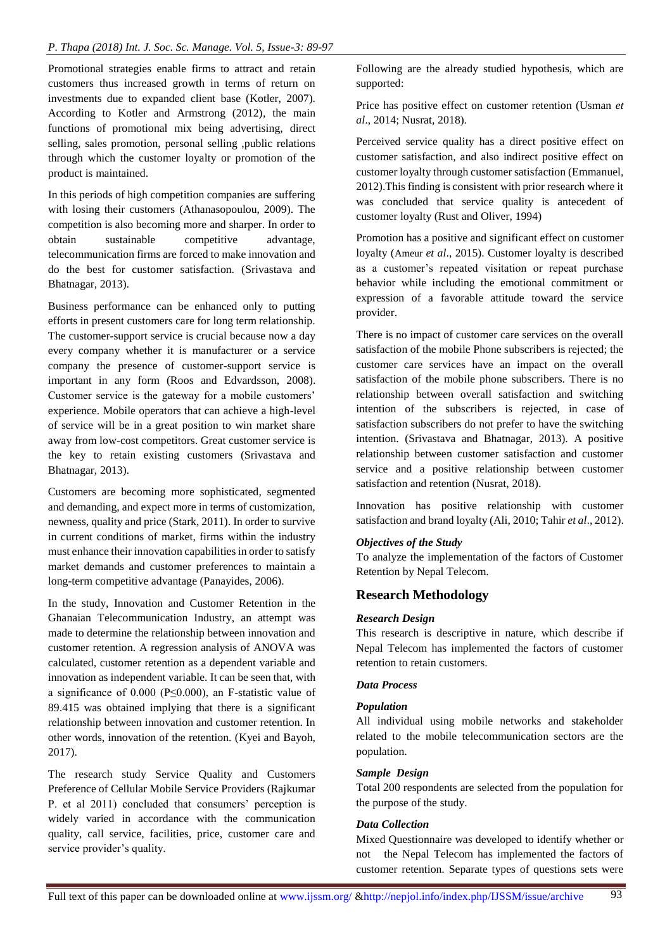Promotional strategies enable firms to attract and retain customers thus increased growth in terms of return on investments due to expanded client base (Kotler, 2007). According to Kotler and Armstrong (2012), the main functions of promotional mix being advertising, direct selling, sales promotion, personal selling ,public relations through which the customer loyalty or promotion of the product is maintained.

In this periods of high competition companies are suffering with losing their customers (Athanasopoulou, 2009). The competition is also becoming more and sharper. In order to obtain sustainable competitive advantage, telecommunication firms are forced to make innovation and do the best for customer satisfaction. (Srivastava and Bhatnagar, 2013).

Business performance can be enhanced only to putting efforts in present customers care for long term relationship. The customer-support service is crucial because now a day every company whether it is manufacturer or a service company the presence of customer-support service is important in any form (Roos and Edvardsson, 2008). Customer service is the gateway for a mobile customers' experience. Mobile operators that can achieve a high-level of service will be in a great position to win market share away from low-cost competitors. Great customer service is the key to retain existing customers (Srivastava and Bhatnagar, 2013).

Customers are becoming more sophisticated, segmented and demanding, and expect more in terms of customization, newness, quality and price (Stark, 2011). In order to survive in current conditions of market, firms within the industry must enhance their innovation capabilities in order to satisfy market demands and customer preferences to maintain a long-term competitive advantage (Panayides, 2006).

In the study, Innovation and Customer Retention in the Ghanaian Telecommunication Industry, an attempt was made to determine the relationship between innovation and customer retention. A regression analysis of ANOVA was calculated, customer retention as a dependent variable and innovation as independent variable. It can be seen that, with a significance of 0.000 (P≤0.000), an F-statistic value of 89.415 was obtained implying that there is a significant relationship between innovation and customer retention. In other words, innovation of the retention. (Kyei and Bayoh, 2017).

The research study Service Quality and Customers Preference of Cellular Mobile Service Providers (Rajkumar P. et al 2011) concluded that consumers' perception is widely varied in accordance with the communication quality, call service, facilities, price, customer care and service provider's quality.

Following are the already studied hypothesis, which are supported:

Price has positive effect on customer retention (Usman *et al*., 2014; Nusrat, 2018).

Perceived service quality has a direct positive effect on customer satisfaction, and also indirect positive effect on customer loyalty through customer satisfaction (Emmanuel, 2012).This finding is consistent with prior research where it was concluded that service quality is antecedent of customer loyalty (Rust and Oliver, 1994)

Promotion has a positive and significant effect on customer loyalty (Ameur *et al*., 2015). Customer loyalty is described as a customer's repeated visitation or repeat purchase behavior while including the emotional commitment or expression of a favorable attitude toward the service provider.

There is no impact of customer care services on the overall satisfaction of the mobile Phone subscribers is rejected; the customer care services have an impact on the overall satisfaction of the mobile phone subscribers. There is no relationship between overall satisfaction and switching intention of the subscribers is rejected, in case of satisfaction subscribers do not prefer to have the switching intention. (Srivastava and Bhatnagar, 2013). A positive relationship between customer satisfaction and customer service and a positive relationship between customer satisfaction and retention (Nusrat, 2018).

Innovation has positive relationship with customer satisfaction and brand loyalty (Ali, 2010; Tahir *et al*., 2012).

# *Objectives of the Study*

To analyze the implementation of the factors of Customer Retention by Nepal Telecom.

# **Research Methodology**

### *Research Design*

This research is descriptive in nature, which describe if Nepal Telecom has implemented the factors of customer retention to retain customers.

# *Data Process*

# *Population*

All individual using mobile networks and stakeholder related to the mobile telecommunication sectors are the population.

# *Sample Design*

Total 200 respondents are selected from the population for the purpose of the study.

# *Data Collection*

Mixed Questionnaire was developed to identify whether or not the Nepal Telecom has implemented the factors of customer retention. Separate types of questions sets were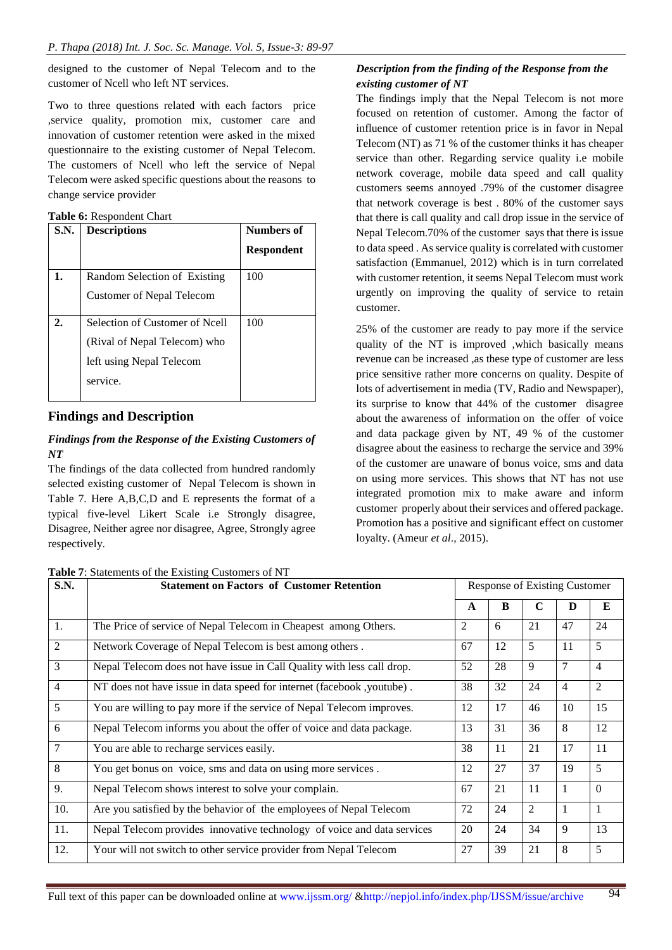designed to the customer of Nepal Telecom and to the customer of Ncell who left NT services.

Two to three questions related with each factors price ,service quality, promotion mix, customer care and innovation of customer retention were asked in the mixed questionnaire to the existing customer of Nepal Telecom. The customers of Ncell who left the service of Nepal Telecom were asked specific questions about the reasons to change service provider

|  |  | Table 6: Respondent Chart |  |  |
|--|--|---------------------------|--|--|
|--|--|---------------------------|--|--|

| S.N.             | <b>Descriptions</b>              | Numbers of        |
|------------------|----------------------------------|-------------------|
|                  |                                  | <b>Respondent</b> |
| 1.               | Random Selection of Existing     | 100               |
|                  | <b>Customer of Nepal Telecom</b> |                   |
| $\overline{2}$ . | Selection of Customer of Ncell   | 100               |
|                  | (Rival of Nepal Telecom) who     |                   |
|                  | left using Nepal Telecom         |                   |
|                  | service.                         |                   |

# **Findings and Description**

## *Findings from the Response of the Existing Customers of NT*

The findings of the data collected from hundred randomly selected existing customer of Nepal Telecom is shown in Table 7. Here A,B,C,D and E represents the format of a typical five-level Likert Scale i.e Strongly disagree, Disagree, Neither agree nor disagree, Agree, Strongly agree respectively.

**Table 7**: Statements of the Existing Customers of NT

# *Description from the finding of the Response from the existing customer of NT*

The findings imply that the Nepal Telecom is not more focused on retention of customer. Among the factor of influence of customer retention price is in favor in Nepal Telecom (NT) as 71 % of the customer thinks it has cheaper service than other. Regarding service quality i.e mobile network coverage, mobile data speed and call quality customers seems annoyed .79% of the customer disagree that network coverage is best . 80% of the customer says that there is call quality and call drop issue in the service of Nepal Telecom.70% of the customer says that there is issue to data speed . As service quality is correlated with customer satisfaction (Emmanuel, 2012) which is in turn correlated with customer retention, it seems Nepal Telecom must work urgently on improving the quality of service to retain customer.

25% of the customer are ready to pay more if the service quality of the NT is improved ,which basically means revenue can be increased ,as these type of customer are less price sensitive rather more concerns on quality. Despite of lots of advertisement in media (TV, Radio and Newspaper), its surprise to know that 44% of the customer disagree about the awareness of information on the offer of voice and data package given by NT, 49 % of the customer disagree about the easiness to recharge the service and 39% of the customer are unaware of bonus voice, sms and data on using more services. This shows that NT has not use integrated promotion mix to make aware and inform customer properly about their services and offered package. Promotion has a positive and significant effect on customer loyalty. (Ameur *et al*., 2015).

| S.N.           | <b>Statement on Factors of Customer Retention</b>                       | Response of Existing Customer |    |                |    |                |  |  |
|----------------|-------------------------------------------------------------------------|-------------------------------|----|----------------|----|----------------|--|--|
|                |                                                                         | A                             | B  | $\mathbf C$    | D  | E              |  |  |
| 1.             | The Price of service of Nepal Telecom in Cheapest among Others.         | 2                             | 6  | 21             | 47 | 24             |  |  |
| $\overline{2}$ | Network Coverage of Nepal Telecom is best among others.                 | 67                            | 12 | 5              | 11 | 5              |  |  |
| 3              | Nepal Telecom does not have issue in Call Quality with less call drop.  | 52                            | 28 | 9              | 7  | $\overline{4}$ |  |  |
| $\overline{4}$ | NT does not have issue in data speed for internet (facebook ,youtube).  | 38                            | 32 | 24             | 4  | 2              |  |  |
| 5              | You are willing to pay more if the service of Nepal Telecom improves.   | 12                            | 17 | 46             | 10 | 15             |  |  |
| 6              | Nepal Telecom informs you about the offer of voice and data package.    | 13                            | 31 | 36             | 8  | 12             |  |  |
| 7              | You are able to recharge services easily.                               | 38                            | 11 | 21             | 17 | 11             |  |  |
| 8              | You get bonus on voice, sms and data on using more services.            | 12                            | 27 | 37             | 19 | 5              |  |  |
| 9.             | Nepal Telecom shows interest to solve your complain.                    | 67                            | 21 | 11             |    | $\Omega$       |  |  |
| 10.            | Are you satisfied by the behavior of the employees of Nepal Telecom     | 72                            | 24 | $\overline{2}$ |    | 1              |  |  |
| 11.            | Nepal Telecom provides innovative technology of voice and data services | 20                            | 24 | 34             | 9  | 13             |  |  |
| 12.            | Your will not switch to other service provider from Nepal Telecom       | 27                            | 39 | 21             | 8  | 5              |  |  |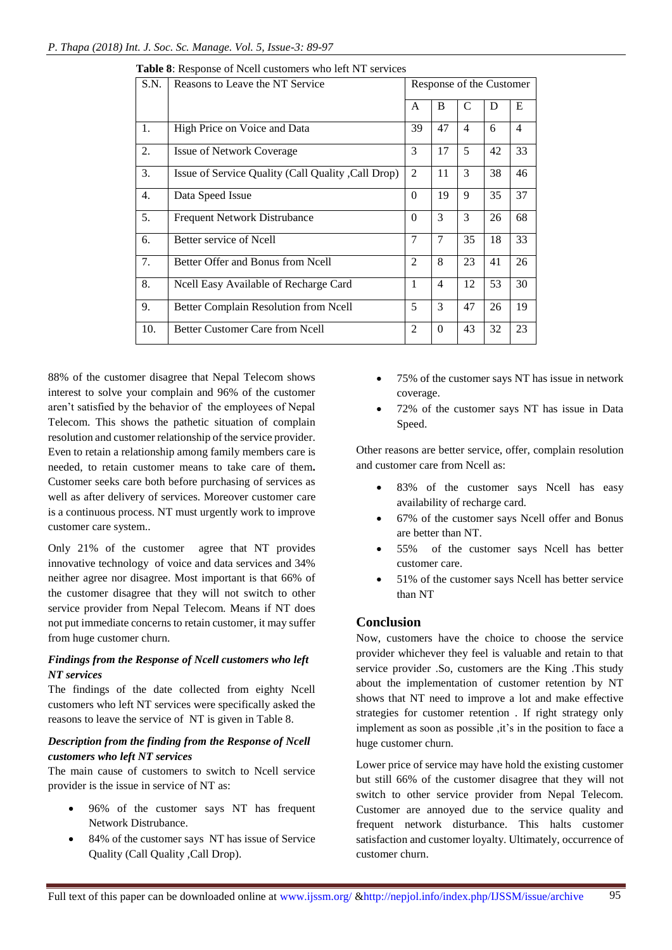| S.N. | Reasons to Leave the NT Service                     | Response of the Customer |                |                |    |                |
|------|-----------------------------------------------------|--------------------------|----------------|----------------|----|----------------|
|      |                                                     | A                        | B              | C              | D  | E              |
| 1.   | High Price on Voice and Data                        | 39                       | 47             | $\overline{4}$ | 6  | $\overline{4}$ |
| 2.   | <b>Issue of Network Coverage</b>                    | 3                        | 17             | 5              | 42 | 33             |
| 3.   | Issue of Service Quality (Call Quality , Call Drop) | 2                        | 11             | 3              | 38 | 46             |
| 4.   | Data Speed Issue                                    | $\theta$                 | 19             | 9              | 35 | 37             |
| 5.   | <b>Frequent Network Distrubance</b>                 | $\Omega$                 | 3              | 3              | 26 | 68             |
| 6.   | Better service of Ncell                             | $\overline{7}$           | $\overline{7}$ | 35             | 18 | 33             |
| 7.   | Better Offer and Bonus from Ncell                   | $\overline{2}$           | 8              | 23             | 41 | 26             |
| 8.   | Neell Easy Available of Recharge Card               | $\mathbf{1}$             | $\overline{4}$ | 12             | 53 | 30             |
| 9.   | Better Complain Resolution from Ncell               | 5                        | 3              | 47             | 26 | 19             |
| 10.  | <b>Better Customer Care from Ncell</b>              | 2                        | $\Omega$       | 43             | 32 | 23             |

|  |  | Table 8: Response of Ncell customers who left NT services |  |  |
|--|--|-----------------------------------------------------------|--|--|
|  |  |                                                           |  |  |

88% of the customer disagree that Nepal Telecom shows interest to solve your complain and 96% of the customer aren't satisfied by the behavior of the employees of Nepal Telecom. This shows the pathetic situation of complain resolution and customer relationship of the service provider. Even to retain a relationship among family members care is needed, to retain customer means to take care of them**.**  Customer seeks care both before purchasing of services as well as after delivery of services. Moreover customer care is a continuous process. NT must urgently work to improve customer care system..

Only 21% of the customer agree that NT provides innovative technology of voice and data services and 34% neither agree nor disagree. Most important is that 66% of the customer disagree that they will not switch to other service provider from Nepal Telecom. Means if NT does not put immediate concerns to retain customer, it may suffer from huge customer churn.

# *Findings from the Response of Ncell customers who left NT services*

The findings of the date collected from eighty Ncell customers who left NT services were specifically asked the reasons to leave the service of NT is given in Table 8.

# *Description from the finding from the Response of Ncell customers who left NT services*

The main cause of customers to switch to Ncell service provider is the issue in service of NT as:

- 96% of the customer says NT has frequent Network Distrubance.
- 84% of the customer says NT has issue of Service Quality (Call Quality ,Call Drop).
- 75% of the customer says NT has issue in network coverage.
- 72% of the customer says NT has issue in Data Speed.

Other reasons are better service, offer, complain resolution and customer care from Ncell as:

- 83% of the customer says Ncell has easy availability of recharge card.
- 67% of the customer says Ncell offer and Bonus are better than NT.
- 55% of the customer says Ncell has better customer care.
- 51% of the customer says Ncell has better service than NT

# **Conclusion**

Now, customers have the choice to choose the service provider whichever they feel is valuable and retain to that service provider .So, customers are the King .This study about the implementation of customer retention by NT shows that NT need to improve a lot and make effective strategies for customer retention . If right strategy only implement as soon as possible , it's in the position to face a huge customer churn.

Lower price of service may have hold the existing customer but still 66% of the customer disagree that they will not switch to other service provider from Nepal Telecom. Customer are annoyed due to the service quality and frequent network disturbance. This halts customer satisfaction and customer loyalty. Ultimately, occurrence of customer churn.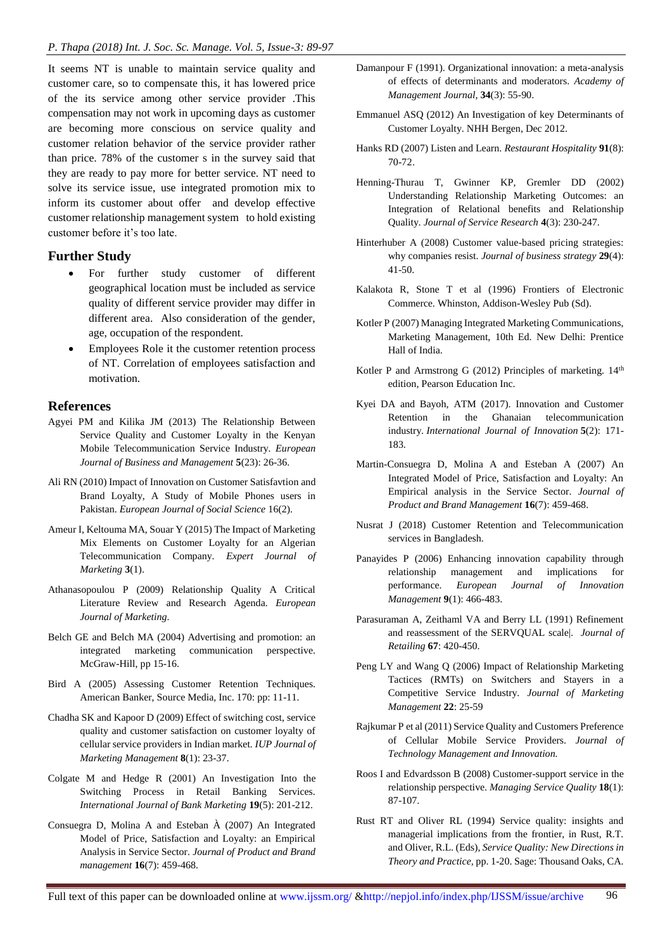It seems NT is unable to maintain service quality and customer care, so to compensate this, it has lowered price of the its service among other service provider .This compensation may not work in upcoming days as customer are becoming more conscious on service quality and customer relation behavior of the service provider rather than price. 78% of the customer s in the survey said that they are ready to pay more for better service. NT need to solve its service issue, use integrated promotion mix to inform its customer about offer and develop effective customer relationship management system to hold existing customer before it's too late.

## **Further Study**

- For further study customer of different geographical location must be included as service quality of different service provider may differ in different area. Also consideration of the gender, age, occupation of the respondent.
- Employees Role it the customer retention process of NT. Correlation of employees satisfaction and motivation.

### **References**

- Agyei PM and Kilika JM (2013) The Relationship Between Service Quality and Customer Loyalty in the Kenyan Mobile Telecommunication Service Industry. *European Journal of Business and Management* **5**(23): 26-36.
- Ali RN (2010) Impact of Innovation on Customer Satisfavtion and Brand Loyalty, A Study of Mobile Phones users in Pakistan. *European Journal of Social Science* 16(2).
- Ameur I, Keltouma MA, Souar Y (2015) The Impact of Marketing Mix Elements on Customer Loyalty for an Algerian Telecommunication Company. *Expert Journal of Marketing* **3**(1).
- Athanasopoulou P (2009) Relationship Quality A Critical Literature Review and Research Agenda. *European Journal of Marketing*.
- Belch GE and Belch MA (2004) Advertising and promotion: an integrated marketing communication perspective. McGraw-Hill, pp 15-16.
- Bird A (2005) Assessing Customer Retention Techniques. American Banker, Source Media, Inc. 170: pp: 11-11.
- Chadha SK and Kapoor D (2009) Effect of switching cost, service quality and customer satisfaction on customer loyalty of cellular service providers in Indian market. *IUP Journal of Marketing Management* **8**(1): 23-37.
- Colgate M and Hedge R (2001) An Investigation Into the Switching Process in Retail Banking Services. *International Journal of Bank Marketing* **19**(5): 201-212.
- Consuegra D, Molina A and Esteban À (2007) An Integrated Model of Price, Satisfaction and Loyalty: an Empirical Analysis in Service Sector. *Journal of Product and Brand management* **16**(7): 459-468.
- Damanpour F (1991). Organizational innovation: a meta-analysis of effects of determinants and moderators. *Academy of Management Journal*, **34**(3): 55-90.
- Emmanuel ASQ (2012) An Investigation of key Determinants of Customer Loyalty. NHH Bergen, Dec 2012.
- Hanks RD (2007) Listen and Learn. *Restaurant Hospitality* **91**(8): 70-72.
- Henning-Thurau T, Gwinner KP, Gremler DD (2002) Understanding Relationship Marketing Outcomes: an Integration of Relational benefits and Relationship Quality. *Journal of Service Research* **4**(3): 230-247.
- Hinterhuber A (2008) Customer value-based pricing strategies: why companies resist. *Journal of business strategy* **29**(4): 41-50.
- Kalakota R, Stone T et al (1996) Frontiers of Electronic Commerce. Whinston, Addison-Wesley Pub (Sd).
- Kotler P (2007) Managing Integrated Marketing Communications, Marketing Management, 10th Ed. New Delhi: Prentice Hall of India.
- Kotler P and Armstrong G (2012) Principles of marketing.  $14<sup>th</sup>$ edition, Pearson Education Inc.
- Kyei DA and Bayoh, ATM (2017). Innovation and Customer Retention in the Ghanaian telecommunication industry. *International Journal of Innovation* **5**(2): 171- 183.
- Martin-Consuegra D, Molina A and Esteban A (2007) An Integrated Model of Price, Satisfaction and Loyalty: An Empirical analysis in the Service Sector. *Journal of Product and Brand Management* **16**(7): 459-468.
- Nusrat J (2018) Customer Retention and Telecommunication services in Bangladesh.
- Panayides P (2006) Enhancing innovation capability through relationship management and implications for performance. *European Journal of Innovation Management* **9**(1): 466-483.
- Parasuraman A, Zeithaml VA and Berry LL (1991) Refinement and reassessment of the SERVQUAL scale|. *Journal of Retailing* **67**: 420-450.
- Peng LY and Wang Q (2006) Impact of Relationship Marketing Tactices (RMTs) on Switchers and Stayers in a Competitive Service Industry. *Journal of Marketing Management* **22**: 25-59
- Rajkumar P et al (2011) Service Quality and Customers Preference of Cellular Mobile Service Providers. *Journal of Technology Management and Innovation.*
- Roos I and Edvardsson B (2008) Customer-support service in the relationship perspective. *Managing Service Quality* **18**(1): 87-107.
- Rust RT and Oliver RL (1994) Service quality: insights and managerial implications from the frontier, in Rust, R.T. and Oliver, R.L. (Eds), *Service Quality: New Directions in Theory and Practice,* pp. 1-20. Sage: Thousand Oaks, CA.